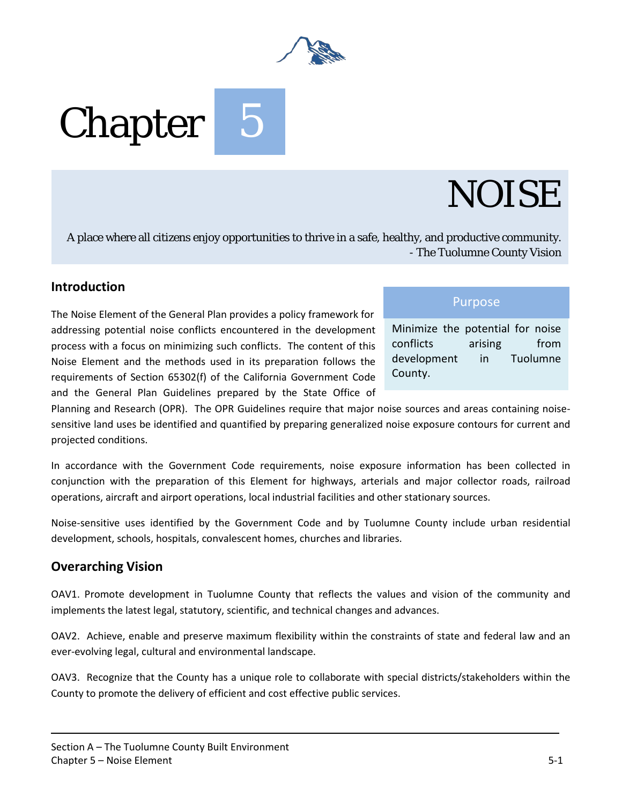

# Chapter

## NOISE

A place where all citizens enjoy opportunities to thrive in a safe, healthy, and productive community. - The Tuolumne County Vision

#### **Introduction**

The Noise Element of the General Plan provides a policy framework for addressing potential noise conflicts encountered in the development process with a focus on minimizing such conflicts. The content of this Noise Element and the methods used in its preparation follows the requirements of Section 65302(f) of the California Government Code and the General Plan Guidelines prepared by the State Office of

#### Purpose

Minimize the potential for noise conflicts arising from development in Tuolumne County.

Planning and Research (OPR). The OPR Guidelines require that major noise sources and areas containing noisesensitive land uses be identified and quantified by preparing generalized noise exposure contours for current and projected conditions.

In accordance with the Government Code requirements, noise exposure information has been collected in conjunction with the preparation of this Element for highways, arterials and major collector roads, railroad operations, aircraft and airport operations, local industrial facilities and other stationary sources.

Noise-sensitive uses identified by the Government Code and by Tuolumne County include urban residential development, schools, hospitals, convalescent homes, churches and libraries.

#### **Overarching Vision**

OAV1. Promote development in Tuolumne County that reflects the values and vision of the community and implements the latest legal, statutory, scientific, and technical changes and advances.

OAV2. Achieve, enable and preserve maximum flexibility within the constraints of state and federal law and an ever-evolving legal, cultural and environmental landscape.

OAV3. Recognize that the County has a unique role to collaborate with special districts/stakeholders within the County to promote the delivery of efficient and cost effective public services.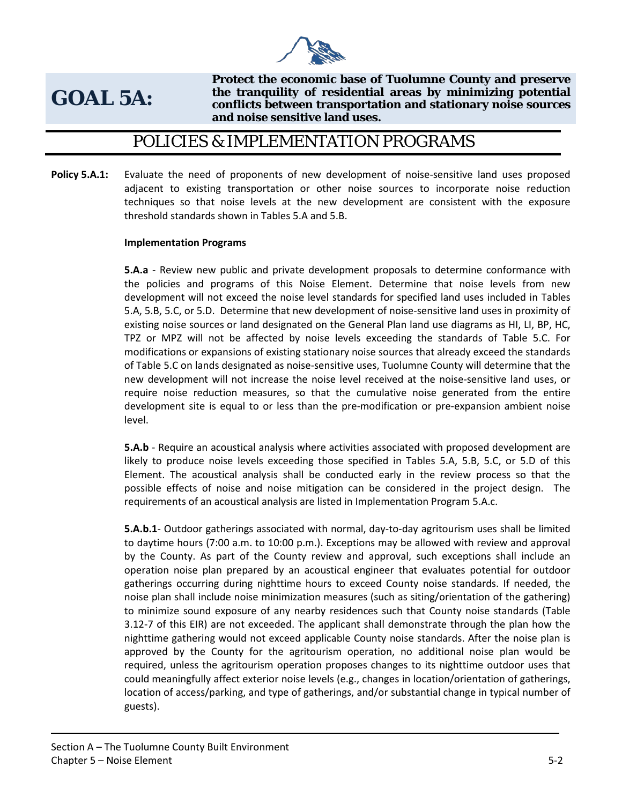

## **GOAL 5A:**

**Protect the economic base of Tuolumne County and preserve the tranquility of residential areas by minimizing potential conflicts between transportation and stationary noise sources and noise sensitive land uses.**

### POLICIES & IMPLEMENTATION PROGRAMS

**Policy 5.A.1:** Evaluate the need of proponents of new development of noise-sensitive land uses proposed adjacent to existing transportation or other noise sources to incorporate noise reduction techniques so that noise levels at the new development are consistent with the exposure threshold standards shown in Tables 5.A and 5.B.

#### **Implementation Programs**

**5.A.a** - Review new public and private development proposals to determine conformance with the policies and programs of this Noise Element. Determine that noise levels from new development will not exceed the noise level standards for specified land uses included in Tables 5.A, 5.B, 5.C, or 5.D. Determine that new development of noise-sensitive land uses in proximity of existing noise sources or land designated on the General Plan land use diagrams as HI, LI, BP, HC, TPZ or MPZ will not be affected by noise levels exceeding the standards of Table 5.C. For modifications or expansions of existing stationary noise sources that already exceed the standards of Table 5.C on lands designated as noise-sensitive uses, Tuolumne County will determine that the new development will not increase the noise level received at the noise-sensitive land uses, or require noise reduction measures, so that the cumulative noise generated from the entire development site is equal to or less than the pre-modification or pre-expansion ambient noise level.

**5.A.b** - Require an acoustical analysis where activities associated with proposed development are likely to produce noise levels exceeding those specified in Tables 5.A, 5.B, 5.C, or 5.D of this Element. The acoustical analysis shall be conducted early in the review process so that the possible effects of noise and noise mitigation can be considered in the project design. The requirements of an acoustical analysis are listed in Implementation Program 5.A.c.

**5.A.b.1**- Outdoor gatherings associated with normal, day-to-day agritourism uses shall be limited to daytime hours (7:00 a.m. to 10:00 p.m.). Exceptions may be allowed with review and approval by the County. As part of the County review and approval, such exceptions shall include an operation noise plan prepared by an acoustical engineer that evaluates potential for outdoor gatherings occurring during nighttime hours to exceed County noise standards. If needed, the noise plan shall include noise minimization measures (such as siting/orientation of the gathering) to minimize sound exposure of any nearby residences such that County noise standards (Table 3.12-7 of this EIR) are not exceeded. The applicant shall demonstrate through the plan how the nighttime gathering would not exceed applicable County noise standards. After the noise plan is approved by the County for the agritourism operation, no additional noise plan would be required, unless the agritourism operation proposes changes to its nighttime outdoor uses that could meaningfully affect exterior noise levels (e.g., changes in location/orientation of gatherings, location of access/parking, and type of gatherings, and/or substantial change in typical number of guests).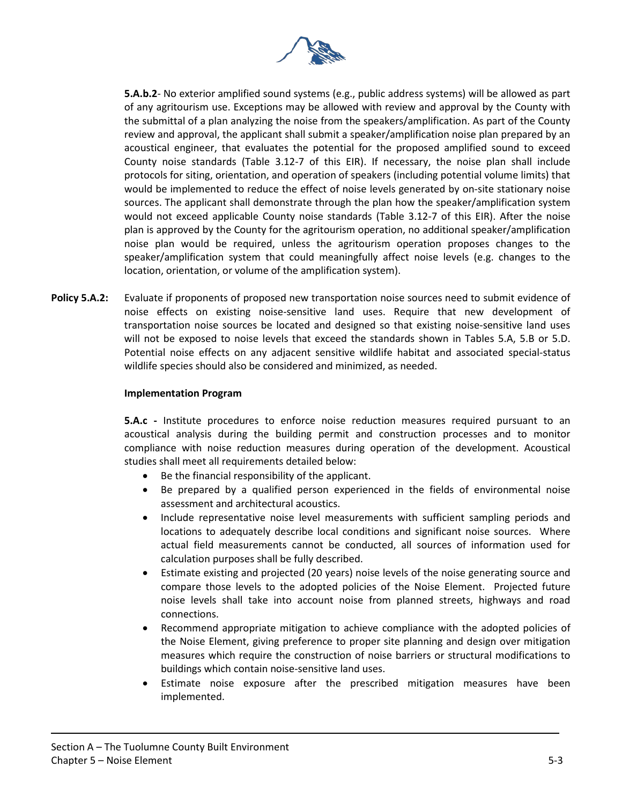

**5.A.b.2**- No exterior amplified sound systems (e.g., public address systems) will be allowed as part of any agritourism use. Exceptions may be allowed with review and approval by the County with the submittal of a plan analyzing the noise from the speakers/amplification. As part of the County review and approval, the applicant shall submit a speaker/amplification noise plan prepared by an acoustical engineer, that evaluates the potential for the proposed amplified sound to exceed County noise standards (Table 3.12-7 of this EIR). If necessary, the noise plan shall include protocols for siting, orientation, and operation of speakers (including potential volume limits) that would be implemented to reduce the effect of noise levels generated by on-site stationary noise sources. The applicant shall demonstrate through the plan how the speaker/amplification system would not exceed applicable County noise standards (Table 3.12-7 of this EIR). After the noise plan is approved by the County for the agritourism operation, no additional speaker/amplification noise plan would be required, unless the agritourism operation proposes changes to the speaker/amplification system that could meaningfully affect noise levels (e.g. changes to the location, orientation, or volume of the amplification system).

**Policy 5.A.2:** Evaluate if proponents of proposed new transportation noise sources need to submit evidence of noise effects on existing noise-sensitive land uses. Require that new development of transportation noise sources be located and designed so that existing noise-sensitive land uses will not be exposed to noise levels that exceed the standards shown in Tables 5.A, 5.B or 5.D. Potential noise effects on any adjacent sensitive wildlife habitat and associated special-status wildlife species should also be considered and minimized, as needed.

#### **Implementation Program**

**5.A.c -** Institute procedures to enforce noise reduction measures required pursuant to an acoustical analysis during the building permit and construction processes and to monitor compliance with noise reduction measures during operation of the development. Acoustical studies shall meet all requirements detailed below:

- Be the financial responsibility of the applicant.
- Be prepared by a qualified person experienced in the fields of environmental noise assessment and architectural acoustics.
- Include representative noise level measurements with sufficient sampling periods and locations to adequately describe local conditions and significant noise sources. Where actual field measurements cannot be conducted, all sources of information used for calculation purposes shall be fully described.
- Estimate existing and projected (20 years) noise levels of the noise generating source and compare those levels to the adopted policies of the Noise Element. Projected future noise levels shall take into account noise from planned streets, highways and road connections.
- Recommend appropriate mitigation to achieve compliance with the adopted policies of the Noise Element, giving preference to proper site planning and design over mitigation measures which require the construction of noise barriers or structural modifications to buildings which contain noise-sensitive land uses.
- Estimate noise exposure after the prescribed mitigation measures have been implemented.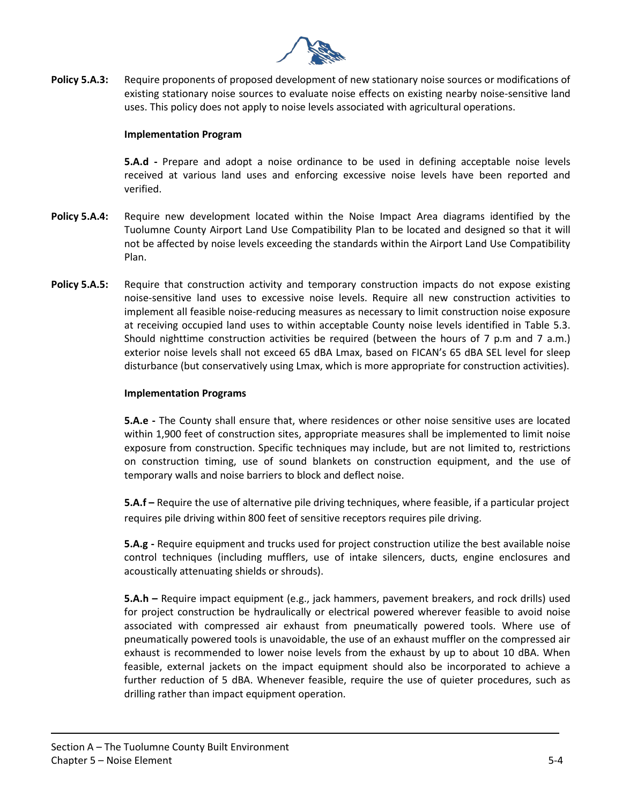

**Policy 5.A.3:** Require proponents of proposed development of new stationary noise sources or modifications of existing stationary noise sources to evaluate noise effects on existing nearby noise-sensitive land uses. This policy does not apply to noise levels associated with agricultural operations.

#### **Implementation Program**

**5.A.d -** Prepare and adopt a noise ordinance to be used in defining acceptable noise levels received at various land uses and enforcing excessive noise levels have been reported and verified.

- **Policy 5.A.4:** Require new development located within the Noise Impact Area diagrams identified by the Tuolumne County Airport Land Use Compatibility Plan to be located and designed so that it will not be affected by noise levels exceeding the standards within the Airport Land Use Compatibility Plan.
- **Policy 5.A.5:** Require that construction activity and temporary construction impacts do not expose existing noise-sensitive land uses to excessive noise levels. Require all new construction activities to implement all feasible noise-reducing measures as necessary to limit construction noise exposure at receiving occupied land uses to within acceptable County noise levels identified in Table 5.3. Should nighttime construction activities be required (between the hours of 7 p.m and 7 a.m.) exterior noise levels shall not exceed 65 dBA Lmax, based on FICAN's 65 dBA SEL level for sleep disturbance (but conservatively using Lmax, which is more appropriate for construction activities).

#### **Implementation Programs**

**5.A.e -** The County shall ensure that, where residences or other noise sensitive uses are located within 1,900 feet of construction sites, appropriate measures shall be implemented to limit noise exposure from construction. Specific techniques may include, but are not limited to, restrictions on construction timing, use of sound blankets on construction equipment, and the use of temporary walls and noise barriers to block and deflect noise.

**5.A.f –** Require the use of alternative pile driving techniques, where feasible, if a particular project requires pile driving within 800 feet of sensitive receptors requires pile driving.

**5.A.g -** Require equipment and trucks used for project construction utilize the best available noise control techniques (including mufflers, use of intake silencers, ducts, engine enclosures and acoustically attenuating shields or shrouds).

**5.A.h –** Require impact equipment (e.g., jack hammers, pavement breakers, and rock drills) used for project construction be hydraulically or electrical powered wherever feasible to avoid noise associated with compressed air exhaust from pneumatically powered tools. Where use of pneumatically powered tools is unavoidable, the use of an exhaust muffler on the compressed air exhaust is recommended to lower noise levels from the exhaust by up to about 10 dBA. When feasible, external jackets on the impact equipment should also be incorporated to achieve a further reduction of 5 dBA. Whenever feasible, require the use of quieter procedures, such as drilling rather than impact equipment operation.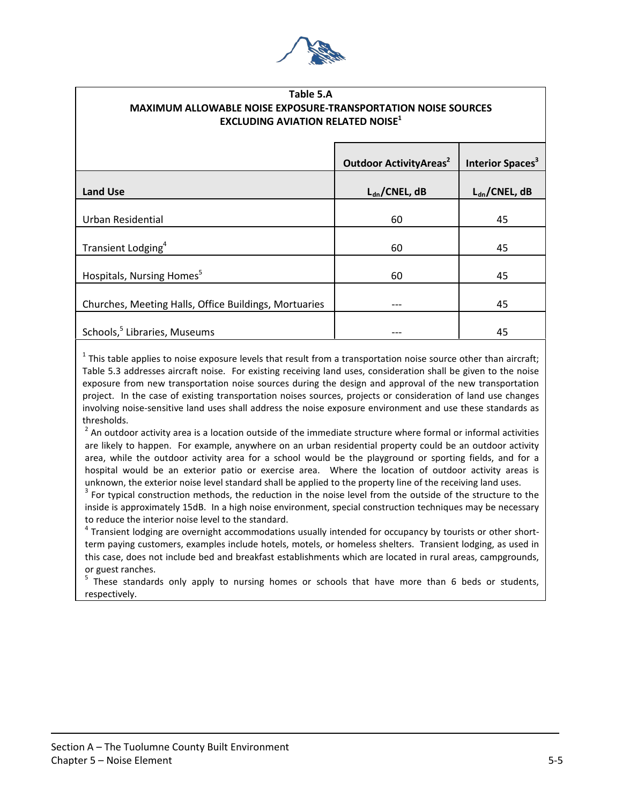

#### **Table 5.A MAXIMUM ALLOWABLE NOISE EXPOSURE-TRANSPORTATION NOISE SOURCES EXCLUDING AVIATION RELATED NOISE**<sup>1</sup>

|                                                       | <b>Outdoor Activity Areas<sup>2</sup></b> | Interior Spaces <sup>3</sup> |
|-------------------------------------------------------|-------------------------------------------|------------------------------|
| <b>Land Use</b>                                       | $L_{dn}/CNEL, dB$                         | $L_{dn}/CNEL, dB$            |
| <b>Urban Residential</b>                              | 60                                        | 45                           |
| Transient Lodging <sup>4</sup>                        | 60                                        | 45                           |
| Hospitals, Nursing Homes <sup>5</sup>                 | 60                                        | 45                           |
| Churches, Meeting Halls, Office Buildings, Mortuaries |                                           | 45                           |
| Schools, <sup>5</sup> Libraries, Museums              |                                           | 45                           |
|                                                       |                                           |                              |

 $1$  This table applies to noise exposure levels that result from a transportation noise source other than aircraft; Table 5.3 addresses aircraft noise. For existing receiving land uses, consideration shall be given to the noise exposure from new transportation noise sources during the design and approval of the new transportation project. In the case of existing transportation noises sources, projects or consideration of land use changes involving noise-sensitive land uses shall address the noise exposure environment and use these standards as thresholds.

 $<sup>2</sup>$  An outdoor activity area is a location outside of the immediate structure where formal or informal activities</sup> are likely to happen. For example, anywhere on an urban residential property could be an outdoor activity area, while the outdoor activity area for a school would be the playground or sporting fields, and for a hospital would be an exterior patio or exercise area. Where the location of outdoor activity areas is unknown, the exterior noise level standard shall be applied to the property line of the receiving land uses.<br><sup>3</sup> For typical construction methods, the reduction in the noise level from the outside of the structure to the

inside is approximately 15dB. In a high noise environment, special construction techniques may be necessary to reduce the interior noise level to the standard.<br><sup>4</sup> Transient lodging are overnight accommodations usually intended for occupancy by tourists or other short-

term paying customers, examples include hotels, motels, or homeless shelters. Transient lodging, as used in this case, does not include bed and breakfast establishments which are located in rural areas, campgrounds, or guest ranches.

<sup>5</sup> These standards only apply to nursing homes or schools that have more than 6 beds or students, respectively.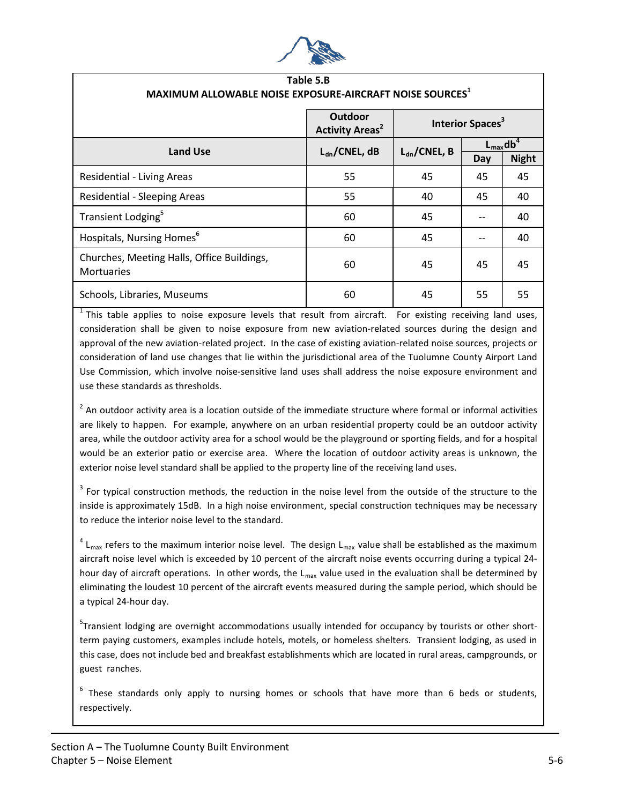

| Table 5.B<br>MAXIMUM ALLOWABLE NOISE EXPOSURE-AIRCRAFT NOISE SOURCES <sup>1</sup> |                                                     |                              |                                  |              |  |
|-----------------------------------------------------------------------------------|-----------------------------------------------------|------------------------------|----------------------------------|--------------|--|
|                                                                                   | <b>Outdoor</b><br><b>Activity Areas<sup>2</sup></b> | Interior Spaces <sup>3</sup> |                                  |              |  |
| <b>Land Use</b>                                                                   | $L_{dn}/CNEL, dB$                                   | $L_{dn}/CNEL, B$             | $L_{\text{max}}$ db <sup>4</sup> |              |  |
|                                                                                   |                                                     |                              | Day                              | <b>Night</b> |  |
| <b>Residential - Living Areas</b>                                                 | 55                                                  | 45                           | 45                               | 45           |  |
| <b>Residential - Sleeping Areas</b>                                               | 55                                                  | 40                           | 45                               | 40           |  |
| Transient Lodging <sup>5</sup>                                                    | 60                                                  | 45                           | --                               | 40           |  |
| Hospitals, Nursing Homes <sup>6</sup>                                             | 60                                                  | 45                           |                                  | 40           |  |
| Churches, Meeting Halls, Office Buildings,<br>Mortuaries                          | 60                                                  | 45                           | 45                               | 45           |  |
| Schools, Libraries, Museums                                                       | 60                                                  | 45                           | 55                               | 55           |  |

 $1$  This table applies to noise exposure levels that result from aircraft. For existing receiving land uses, consideration shall be given to noise exposure from new aviation-related sources during the design and approval of the new aviation-related project. In the case of existing aviation-related noise sources, projects or consideration of land use changes that lie within the jurisdictional area of the Tuolumne County Airport Land Use Commission, which involve noise-sensitive land uses shall address the noise exposure environment and use these standards as thresholds.

 $2$  An outdoor activity area is a location outside of the immediate structure where formal or informal activities are likely to happen. For example, anywhere on an urban residential property could be an outdoor activity area, while the outdoor activity area for a school would be the playground or sporting fields, and for a hospital would be an exterior patio or exercise area. Where the location of outdoor activity areas is unknown, the exterior noise level standard shall be applied to the property line of the receiving land uses.

 $3$  For typical construction methods, the reduction in the noise level from the outside of the structure to the inside is approximately 15dB. In a high noise environment, special construction techniques may be necessary to reduce the interior noise level to the standard.

 $4 L_{\text{max}}$  refers to the maximum interior noise level. The design L<sub>max</sub> value shall be established as the maximum aircraft noise level which is exceeded by 10 percent of the aircraft noise events occurring during a typical 24 hour day of aircraft operations. In other words, the  $L_{max}$  value used in the evaluation shall be determined by eliminating the loudest 10 percent of the aircraft events measured during the sample period, which should be a typical 24-hour day.

<sup>5</sup>Transient lodging are overnight accommodations usually intended for occupancy by tourists or other shortterm paying customers, examples include hotels, motels, or homeless shelters. Transient lodging, as used in this case, does not include bed and breakfast establishments which are located in rural areas, campgrounds, or guest ranches.

<sup>6</sup> These standards only apply to nursing homes or schools that have more than 6 beds or students, respectively.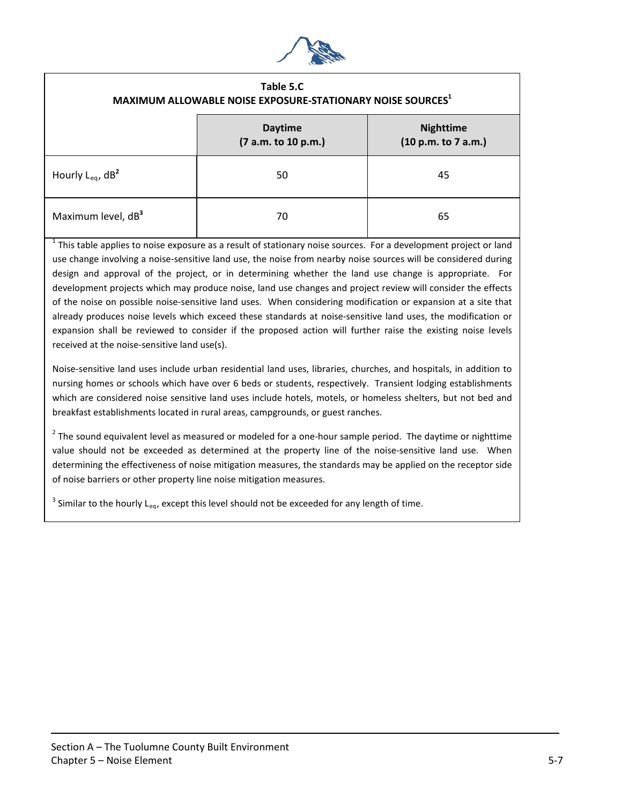

#### **Table 5.C MAXIMUM ALLOWABLE NOISE EXPOSURE-STATIONARY NOISE SOURCES1**

|                                | <b>Daytime</b><br>(7 a.m. to 10 p.m.) | <b>Nighttime</b><br>(10 p.m. to 7 a.m.) |
|--------------------------------|---------------------------------------|-----------------------------------------|
| Hourly L <sub>eq</sub> , $dB2$ | 50                                    | 45                                      |
| Maximum level, dB <sup>3</sup> | 70                                    | 65                                      |

 $1$  This table applies to noise exposure as a result of stationary noise sources. For a development project or land use change involving a noise-sensitive land use, the noise from nearby noise sources will be considered during design and approval of the project, or in determining whether the land use change is appropriate. For development projects which may produce noise, land use changes and project review will consider the effects of the noise on possible noise-sensitive land uses. When considering modification or expansion at a site that already produces noise levels which exceed these standards at noise-sensitive land uses, the modification or expansion shall be reviewed to consider if the proposed action will further raise the existing noise levels received at the noise-sensitive land use(s).

Noise-sensitive land uses include urban residential land uses, libraries, churches, and hospitals, in addition to nursing homes or schools which have over 6 beds or students, respectively. Transient lodging establishments which are considered noise sensitive land uses include hotels, motels, or homeless shelters, but not bed and breakfast establishments located in rural areas, campgrounds, or guest ranches.

 $2$  The sound equivalent level as measured or modeled for a one-hour sample period. The daytime or nighttime value should not be exceeded as determined at the property line of the noise-sensitive land use. When determining the effectiveness of noise mitigation measures, the standards may be applied on the receptor side of noise barriers or other property line noise mitigation measures.

 $3$  Similar to the hourly L<sub>eq</sub>, except this level should not be exceeded for any length of time.